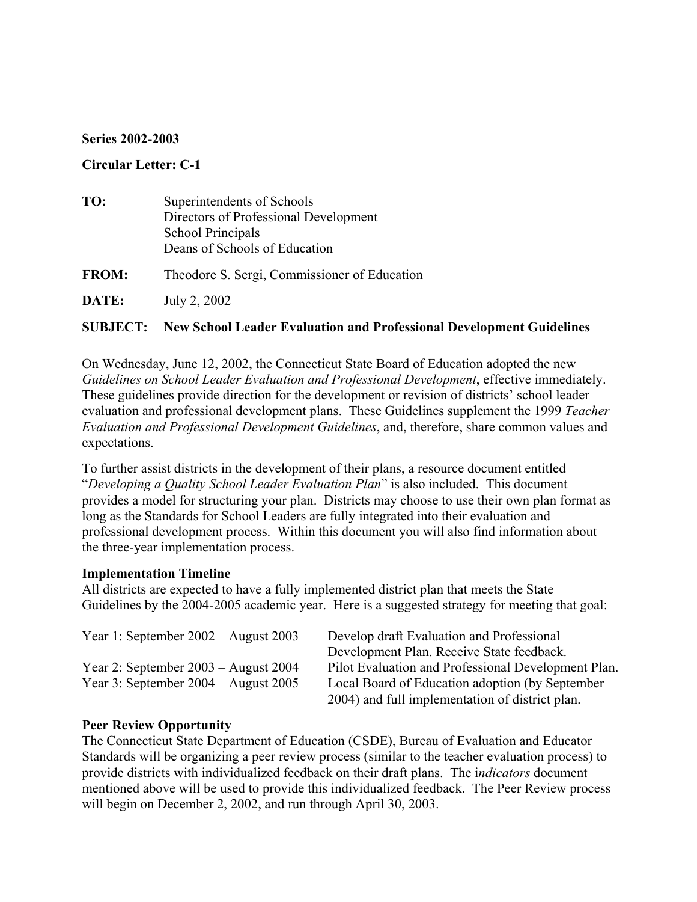#### **Series 2002-2003**

### **Circular Letter: C-1**

| TO:          | Superintendents of Schools<br>Directors of Professional Development<br>School Principals |  |
|--------------|------------------------------------------------------------------------------------------|--|
|              | Deans of Schools of Education                                                            |  |
| <b>FROM:</b> | Theodore S. Sergi, Commissioner of Education                                             |  |
| DATE:        | July 2, 2002                                                                             |  |
|              |                                                                                          |  |

# **SUBJECT: New School Leader Evaluation and Professional Development Guidelines**

On Wednesday, June 12, 2002, the Connecticut State Board of Education adopted the new *Guidelines on School Leader Evaluation and Professional Development*, effective immediately. These guidelines provide direction for the development or revision of districts' school leader evaluation and professional development plans. These Guidelines supplement the 1999 *Teacher Evaluation and Professional Development Guidelines*, and, therefore, share common values and expectations.

To further assist districts in the development of their plans, a resource document entitled "*Developing a Quality School Leader Evaluation Plan*" is also included. This document provides a model for structuring your plan. Districts may choose to use their own plan format as long as the Standards for School Leaders are fully integrated into their evaluation and professional development process. Within this document you will also find information about the three-year implementation process.

#### **Implementation Timeline**

All districts are expected to have a fully implemented district plan that meets the State Guidelines by the 2004-2005 academic year. Here is a suggested strategy for meeting that goal:

| Year 1: September $2002 -$ August 2003   | Develop draft Evaluation and Professional           |
|------------------------------------------|-----------------------------------------------------|
|                                          | Development Plan. Receive State feedback.           |
| Year 2: September $2003 -$ August $2004$ | Pilot Evaluation and Professional Development Plan. |
| Year 3: September $2004 -$ August $2005$ | Local Board of Education adoption (by September     |
|                                          | 2004) and full implementation of district plan.     |

## **Peer Review Opportunity**

The Connecticut State Department of Education (CSDE), Bureau of Evaluation and Educator Standards will be organizing a peer review process (similar to the teacher evaluation process) to provide districts with individualized feedback on their draft plans. The i*ndicators* document mentioned above will be used to provide this individualized feedback. The Peer Review process will begin on December 2, 2002, and run through April 30, 2003.